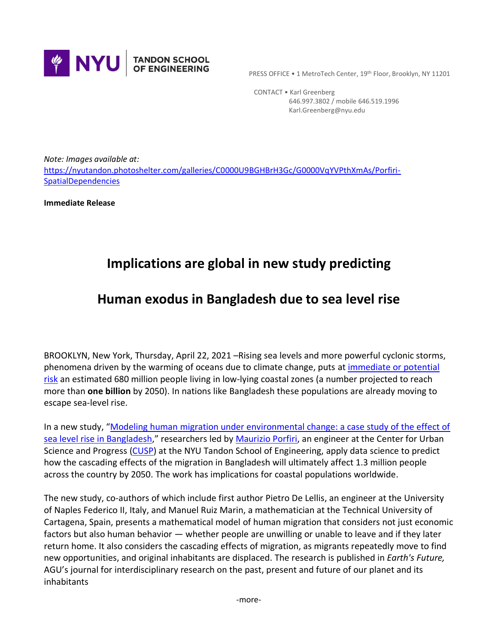

PRESS OFFICE . 1 MetroTech Center, 19th Floor, Brooklyn, NY 11201

 CONTACT • Karl Greenberg 646.997.3802 / mobile 646.519.1996 Karl.Greenberg@nyu.edu

*Note: Images available at:*  [https://nyutandon.photoshelter.com/galleries/C0000U9BGHBrH3Gc/G0000VqYVPthXmAs/Porfiri-](https://nyutandon.photoshelter.com/galleries/C0000U9BGHBrH3Gc/G0000VqYVPthXmAs/Porfiri-SpatialDependencies)**[SpatialDependencies](https://nyutandon.photoshelter.com/galleries/C0000U9BGHBrH3Gc/G0000VqYVPthXmAs/Porfiri-SpatialDependencies)** 

**Immediate Release**

## **Implications are global in new study predicting**

## **Human exodus in Bangladesh due to sea level rise**

BROOKLYN, New York, Thursday, April 22, 2021 –Rising sea levels and more powerful cyclonic storms, phenomena driven by the warming of oceans due to climate change, puts at [immediate or potential](https://www.wwf.eu/wwf_news/media_centre/?uNewsID=353451)  [risk](https://www.wwf.eu/wwf_news/media_centre/?uNewsID=353451) an estimated 680 million people living in low-lying coastal zones (a number projected to reach more than **one billion** by 2050). In nations like Bangladesh these populations are already moving to escape sea-level rise.

In a new study, "[Modeling human migration under environmental change: a case study of the effect of](https://agupubs.onlinelibrary.wiley.com/doi/abs/10.1029/2020EF001931)  sea level [rise in Bangladesh](https://agupubs.onlinelibrary.wiley.com/doi/abs/10.1029/2020EF001931)," researchers led b[y Maurizio Porfiri,](https://engineering.nyu.edu/faculty/maurizio-porfiri) an engineer at the Center for Urban Science and Progress [\(CUSP\)](https://engineering.nyu.edu/research-innovation/centers/center-urban-science-and-progress-cusp) at the NYU Tandon School of Engineering, apply data science to predict how the cascading effects of the migration in Bangladesh will ultimately affect 1.3 million people across the country by 2050. The work has implications for coastal populations worldwide.

The new study, co-authors of which include first author Pietro De Lellis, an engineer at the University of Naples Federico II, Italy, and Manuel Ruiz Marin, a mathematician at the Technical University of Cartagena, Spain, presents a mathematical model of human migration that considers not just economic factors but also human behavior — whether people are unwilling or unable to leave and if they later return home. It also considers the cascading effects of migration, as migrants repeatedly move to find new opportunities, and original inhabitants are displaced. The research is published in *Earth's Future,* AGU's journal for interdisciplinary research on the past, present and future of our planet and its inhabitants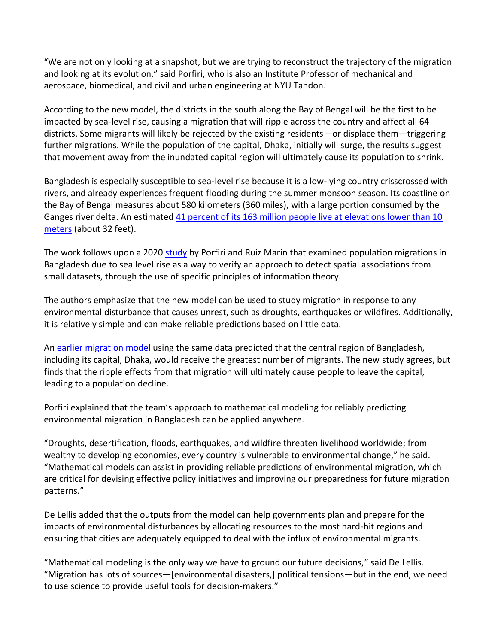"We are not only looking at a snapshot, but we are trying to reconstruct the trajectory of the migration and looking at its evolution," said Porfiri, who is also an Institute Professor of mechanical and aerospace, biomedical, and civil and urban engineering at NYU Tandon.

According to the new model, the districts in the south along the Bay of Bengal will be the first to be impacted by sea-level rise, causing a migration that will ripple across the country and affect all 64 districts. Some migrants will likely be rejected by the existing residents—or displace them—triggering further migrations. While the population of the capital, Dhaka, initially will surge, the results suggest that movement away from the inundated capital region will ultimately cause its population to shrink.

Bangladesh is especially susceptible to sea-level rise because it is a low-lying country crisscrossed with rivers, and already experiences frequent flooding during the summer monsoon season. Its coastline on the Bay of Bengal measures about 580 kilometers (360 miles), with a large portion consumed by the Ganges river delta. An estimated [41 percent of its 163 million people live at elevations lower than 10](https://doi.org/10.1371/journal.pone.0118571)  [meters](https://doi.org/10.1371/journal.pone.0118571) (about 32 feet).

The work follows upon a 2020 [study](https://engineering.nyu.edu/news/novel-method-measuring-spatial-dependencies-makes-small-data-act-big) by Porfiri and Ruiz Marin that examined population migrations in Bangladesh due to sea level rise as a way to verify an approach to detect spatial associations from small datasets, through the use of specific principles of information theory.

The authors emphasize that the new model can be used to study migration in response to any environmental disturbance that causes unrest, such as droughts, earthquakes or wildfires. Additionally, it is relatively simple and can make reliable predictions based on little data.

An [earlier migration model](https://iopscience.iop.org/article/10.1088/1748-9326/aac4d4) using the same data predicted that the central region of Bangladesh, including its capital, Dhaka, would receive the greatest number of migrants. The new study agrees, but finds that the ripple effects from that migration will ultimately cause people to leave the capital, leading to a population decline.

Porfiri explained that the team's approach to mathematical modeling for reliably predicting environmental migration in Bangladesh can be applied anywhere.

"Droughts, desertification, floods, earthquakes, and wildfire threaten livelihood worldwide; from wealthy to developing economies, every country is vulnerable to environmental change," he said. "Mathematical models can assist in providing reliable predictions of environmental migration, which are critical for devising effective policy initiatives and improving our preparedness for future migration patterns."

De Lellis added that the outputs from the model can help governments plan and prepare for the impacts of environmental disturbances by allocating resources to the most hard-hit regions and ensuring that cities are adequately equipped to deal with the influx of environmental migrants.

"Mathematical modeling is the only way we have to ground our future decisions," said De Lellis. "Migration has lots of sources—[environmental disasters,] political tensions—but in the end, we need to use science to provide useful tools for decision-makers."